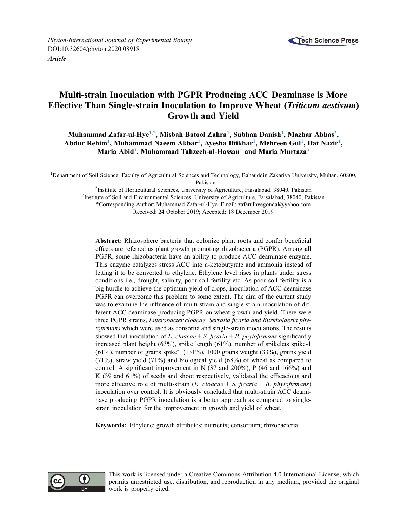

Phyton-International Journal of Experimental Botany DOI[:10.32604/phyton.2020.08918](http://dx.doi.org/10.32604/phyton.2020.08918) [Article](http://dx.doi.org/10.32604/phyton.2020.08918)

# Multi-strain Inoculation with PGPR Producing ACC Deaminase is More Effective Than Single-strain Inoculation to Improve Wheat (Triticum aestivum) Growth and Yield

Muhammad Zafar-ul-Hye<sup>[1](#page-0-0),\*</sup>, Misbah Batool Zahra<sup>1</sup>, Subhan Danish<sup>1</sup>, Mazhar Abbas<sup>[2](#page-0-1)</sup>, Abdur Rehim<sup>[1](#page-0-0)</sup>, Muhammad Naeem Akbar<sup>1</sup>, Ayesha Iftikhar<sup>1</sup>, Mehreen Gul<sup>1</sup>, Ifat Nazir<sup>1</sup>, Maria Abid<sup>[1](#page-0-0)</sup>, Muhammad Tahzeeb-ul-Hassan<sup>1</sup> and Maria Murtaza<sup>[3](#page-0-2)</sup>

<span id="page-0-2"></span><span id="page-0-1"></span><span id="page-0-0"></span><sup>1</sup>Department of Soil Science, Faculty of Agricultural Sciences and Technology, Bahauddin Zakariya University, Multan, 60800, Pakistan<br><sup>2</sup>Institute of Horticultural Sciences, University of

<sup>2</sup> Institute of Horticultural Sciences, University of Agriculture, Faisalabad, 38040, Pakistan <sup>3</sup>Institute of Soil and Environmental Sciences, University of Agriculture, Enisolabed, 38040, Pak <sup>3</sup>Institute of Soil and Environmental Sciences, University of Agriculture, Faisalabad, 38040, Pakistan \*Corresponding Author: Muhammad Zafar-ul-Hye. Email: zafarulhyegondal@yahoo.com Received: 24 October 2019; Accepted: 18 December 2019

Abstract: Rhizosphere bacteria that colonize plant roots and confer beneficial effects are referred as plant growth promoting rhizobacteria (PGPR). Among all PGPR, some rhizobacteria have an ability to produce ACC deaminase enzyme. This enzyme catalyzes stress ACC into a-ketobutyrate and ammonia instead of letting it to be converted to ethylene. Ethylene level rises in plants under stress conditions i.e., drought, salinity, poor soil fertility etc. As poor soil fertility is a big hurdle to achieve the optimum yield of crops, inoculation of ACC deaminase PGPR can overcome this problem to some extent. The aim of the current study was to examine the influence of multi-strain and single-strain inoculation of different ACC deaminase producing PGPR on wheat growth and yield. There were three PGPR strains, Enterobacter cloacae, Serratia ficaria and Burkholderia phytofirmans which were used as consortia and single-strain inoculations. The results showed that inoculation of E. cloacae  $+ S$ . ficaria  $+ B$ . phytofirmans significantly increased plant height (63%), spike length (61%), number of spikelets spike-1 (61%), number of grains spike<sup>-1</sup> (131%), 1000 grains weight (33%), grains yield (71%), straw yield (71%) and biological yield (68%) of wheat as compared to control. A significant improvement in N (37 and 200%), P (46 and 166%) and K (39 and 61%) of seeds and shoot respectively, validated the efficacious and more effective role of multi-strain (*E. cloacae* + *S. ficaria* + *B. phytofirmans*) inoculation over control. It is obviously concluded that multi-strain ACC deaminase producing PGPR inoculation is a better approach as compared to singlestrain inoculation for the improvement in growth and yield of wheat.

Keywords: Ethylene; growth attributes; nutrients; consortium; rhizobacteria



This work is licensed under a Creative Commons Attribution 4.0 International License, which permits unrestricted use, distribution, and reproduction in any medium, provided the original work is properly cited.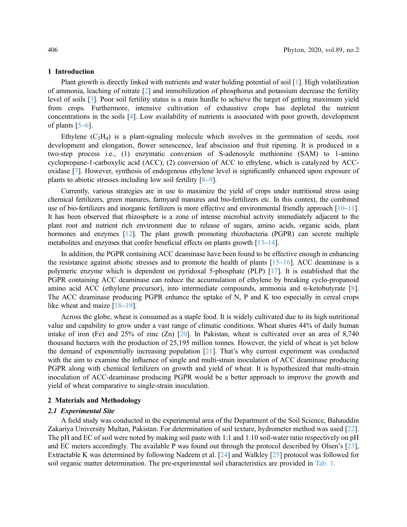#### 1 Introduction

Plant growth is directly linked with nutrients and water holding potential of soil [\[1\]](#page-6-0). High volatilization of ammonia, leaching of nitrate [[2](#page-6-1)] and immobilization of phosphorus and potassium decrease the fertility level of soils [[3](#page-6-2)]. Poor soil fertility status is a main hurdle to achieve the target of getting maximum yield from crops. Furthermore, intensive cultivation of exhaustive crops has depleted the nutrient concentrations in the soils [\[4\]](#page-6-3). Low availability of nutrients is associated with poor growth, development of plants  $[5-6]$  $[5-6]$  $[5-6]$  $[5-6]$  $[5-6]$ .

Ethylene  $(C_2H_4)$  is a plant-signaling molecule which involves in the germination of seeds, root development and elongation, flower senescence, leaf abscission and fruit ripening. It is produced in a two-step process i.e., (1) enzymatic conversion of S-adenosyle methionine (SAM) to 1-amino cyclopropane-1-carboxylic acid (ACC); (2) conversion of ACC to ethylene, which is catalyzed by ACCoxidase [\[7\]](#page-6-6). However, synthesis of endogenous ethylene level is significantly enhanced upon exposure of plants to abiotic stresses including low soil fertility [[8](#page-6-7)–[9](#page-6-8)].

Currently, various strategies are in use to maximize the yield of crops under nutritional stress using chemical fertilizers, green manures, farmyard manures and bio-fertilizers etc. In this context, the combined use of bio-fertilizers and inorganic fertilizers is more effective and environmental friendly approach [\[10](#page-6-9)–[11\]](#page-6-10). It has been observed that rhizosphere is a zone of intense microbial activity immediately adjacent to the plant root and nutrient rich environment due to release of sugars, amino acids, organic acids, plant hormones and enzymes [\[12](#page-6-11)]. The plant growth promoting rhizobacteria (PGPR) can secrete multiple metabolites and enzymes that confer beneficial effects on plants growth [\[13](#page-6-12)–[14\]](#page-7-0).

In addition, the PGPR containing ACC deaminase have been found to be effective enough in enhancing the resistance against abiotic stresses and to promote the health of plants [[15](#page-7-1)–[16\]](#page-7-2). ACC deaminase is a polymeric enzyme which is dependent on pyridoxal 5-phosphate (PLP) [\[17](#page-7-3)]. It is established that the PGPR containing ACC deaminase can reduce the accumulation of ethylene by breaking cyclo-propanoid amino acid ACC (ethylene precursor), into intermediate compounds, ammonia and α-ketobutyrate [\[8\]](#page-6-7). The ACC deaminase producing PGPR enhance the uptake of N, P and K too especially in cereal crops like wheat and maize [\[18](#page-7-4)–[19\]](#page-7-5).

Across the globe, wheat is consumed as a staple food. It is widely cultivated due to its high nutritional value and capability to grow under a vast range of climatic conditions. Wheat shares 44% of daily human intake of iron (Fe) and 25% of zinc (Zn) [[20\]](#page-7-6). In Pakistan, wheat is cultivated over an area of 8,740 thousand hectares with the production of 25,195 million tonnes. However, the yield of wheat is yet below the demand of exponentially increasing population [\[21](#page-7-7)]. That's why current experiment was conducted with the aim to examine the influence of single and multi-strain inoculation of ACC deaminase producing PGPR along with chemical fertilizers on growth and yield of wheat. It is hypothesized that multi-strain inoculation of ACC-deaminase producing PGPR would be a better approach to improve the growth and yield of wheat comparative to single-strain inoculation.

## 2 Materials and Methodology

## 2.1 Experimental Site

A field study was conducted in the experimental area of the Department of the Soil Science, Bahauddin Zakariya University Multan, Pakistan. For determination of soil texture, hydrometer method was used [[22\]](#page-7-8). The pH and EC of soil were noted by making soil paste with 1:1 and 1:10 soil-water ratio respectively on pH and EC meters accordingly. The available P was found out through the protocol described by Olsen's [[23\]](#page-7-9), Extractable K was determined by following Nadeem et al. [[24\]](#page-7-10) and Walkley [\[25\]](#page-7-11) protocol was followed for soil organic matter determination. The pre-experimental soil characteristics are provided in [Tab. 1](#page-2-0).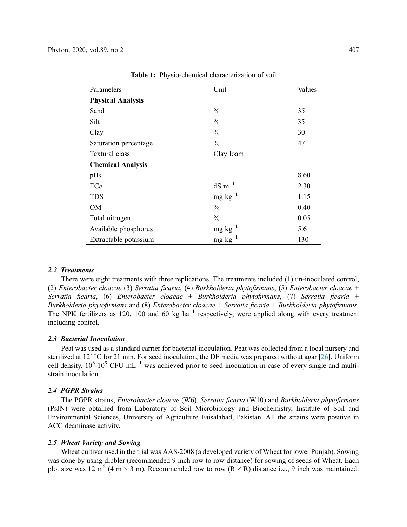<span id="page-2-0"></span>

| Parameters               | Unit                              | Values |
|--------------------------|-----------------------------------|--------|
| <b>Physical Analysis</b> |                                   |        |
| Sand                     | $\frac{0}{0}$                     | 35     |
| Silt                     | $\frac{0}{0}$                     | 35     |
| Clay                     | $\frac{0}{0}$                     | 30     |
| Saturation percentage    | $\frac{0}{0}$                     | 47     |
| Textural class           | Clay loam                         |        |
| <b>Chemical Analysis</b> |                                   |        |
| pHs                      |                                   | 8.60   |
| ECe                      | $dS$ m <sup><math>-1</math></sup> | 2.30   |
| <b>TDS</b>               | $mg \text{ kg}^{-1}$              | 1.15   |
| <b>OM</b>                | $\frac{0}{0}$                     | 0.40   |
| Total nitrogen           | $\frac{0}{0}$                     | 0.05   |
| Available phosphorus     | $mg \, kg^{-1}$                   | 5.6    |
| Extractable potassium    | $mg \text{ kg}^{-1}$              | 130    |

Table 1: Physio-chemical characterization of soil

## 2.2 Treatments

There were eight treatments with three replications. The treatments included (1) un-inoculated control, (2) Enterobacter cloacae (3) Serratia ficaria, (4) Burkholderia phytofirmans, (5) Enterobacter cloacae + Serratia ficaria, (6) Enterobacter cloacae + Burkholderia phytofirmans, (7) Serratia ficaria + Burkholderia phytofirmans and (8) Enterobacter cloacae + Serratia ficaria + Burkholderia phytofirmans. The NPK fertilizers as 120, 100 and 60 kg ha<sup> $-1$ </sup> respectively, were applied along with every treatment including control.

#### 2.3 Bacterial Inoculation

Peat was used as a standard carrier for bacterial inoculation. Peat was collected from a local nursery and sterilized at 121°C for 21 min. For seed inoculation, the DF media was prepared without agar [[26\]](#page-7-12). Uniform cell density,  $10^8$ - $10^9$  CFU mL<sup>-1</sup> was achieved prior to seed inoculation in case of every single and multistrain inoculation.

# 2.4 PGPR Strains

The PGPR strains, Enterobacter cloacae (W6), Serratia ficaria (W10) and Burkholderia phytofirmans (PsJN) were obtained from Laboratory of Soil Microbiology and Biochemistry, Institute of Soil and Environmental Sciences, University of Agriculture Faisalabad, Pakistan. All the strains were positive in ACC deaminase activity.

#### 2.5 Wheat Variety and Sowing

Wheat cultivar used in the trial was AAS-2008 (a developed variety of Wheat for lower Punjab). Sowing was done by using dibbler (recommended 9 inch row to row distance) for sowing of seeds of Wheat. Each plot size was 12 m<sup>2</sup> (4 m  $\times$  3 m). Recommended row to row (R  $\times$  R) distance i.e., 9 inch was maintained.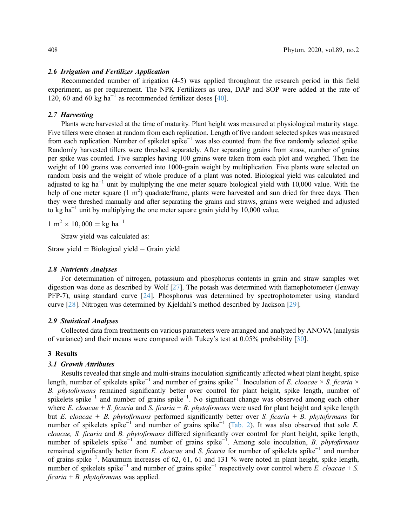#### 2.6 Irrigation and Fertilizer Application

Recommended number of irrigation (4-5) was applied throughout the research period in this field experiment, as per requirement. The NPK Fertilizers as urea, DAP and SOP were added at the rate of 120, 60 and 60 kg ha<sup> $-1$ </sup> as recommended fertilizer doses [[40](#page-8-0)].

# 2.7 Harvesting

Plants were harvested at the time of maturity. Plant height was measured at physiological maturity stage. Five tillers were chosen at random from each replication. Length of five random selected spikes was measured from each replication. Number of spikelet spike−<sup>1</sup> was also counted from the five randomly selected spike. Randomly harvested tillers were threshed separately. After separating grains from straw, number of grains per spike was counted. Five samples having 100 grains were taken from each plot and weighed. Then the weight of 100 grains was converted into 1000-grain weight by multiplication. Five plants were selected on random basis and the weight of whole produce of a plant was noted. Biological yield was calculated and adjusted to kg ha<sup> $-1$ </sup> unit by multiplying the one meter square biological yield with 10,000 value. With the help of one meter square (1 m<sup>2</sup>) quadrate/frame, plants were harvested and sun dried for three days. Then they were threshed manually and after separating the grains and straws, grains were weighed and adjusted to kg ha<sup> $-1$ </sup> unit by multiplying the one meter square grain yield by 10,000 value.

 $1 \text{ m}^2 \times 10,000 = \text{kg h} \text{a}^{-1}$ 

Straw yield was calculated as:

Straw yield  $=$  Biological yield  $-$  Grain yield

#### 2.8 Nutrients Analyses

For determination of nitrogen, potassium and phosphorus contents in grain and straw samples wet digestion was done as described by Wolf [[27\]](#page-7-13). The potash was determined with flamephotometer (Jenway PFP-7), using standard curve [[24\]](#page-7-10). Phosphorus was determined by spectrophotometer using standard curve [[28\]](#page-7-14). Nitrogen was determined by Kjeldahl's method described by Jackson [\[29](#page-7-15)].

### 2.9 Statistical Analyses

Collected data from treatments on various parameters were arranged and analyzed by ANOVA (analysis of variance) and their means were compared with Tukey's test at 0.05% probability [[30\]](#page-7-16).

## 3 Results

### 3.1 Growth Attributes

Results revealed that single and multi-strains inoculation significantly affected wheat plant height, spike length, number of spikelets spike<sup>-1</sup> and number of grains spike<sup>-1</sup>. Inoculation of E. cloacae × S. ficaria × B. phytofirmans remained significantly better over control for plant height, spike length, number of spikelets spike<sup>-1</sup> and number of grains spike<sup>-1</sup>. No significant change was observed among each other where E. cloacae + S. ficaria and S. ficaria + B. phytofirmans were used for plant height and spike length but E. cloacae + B. phytofirmans performed significantly better over S. ficaria + B. phytofirmans for number of spikelets spike<sup>-1</sup> and number of grains spike<sup>-1</sup> [\(Tab. 2\)](#page-4-0). It was also observed that sole *E*. cloacae, S. ficaria and B. phytofirmans differed significantly over control for plant height, spike length, number of spikelets spike<sup>-1</sup> and number of grains spike<sup>-1</sup>. Among sole inoculation, *B. phytofirmans* remained significantly better from E. cloacae and S. ficaria for number of spikelets spike<sup>-1</sup> and number of grains spike−<sup>1</sup> . Maximum increases of 62, 61, 61 and 131 % were noted in plant height, spike length, number of spikelets spike<sup>-1</sup> and number of grains spike<sup>-1</sup> respectively over control where E. cloacae + S. ficaria + B. phytofirmans was applied.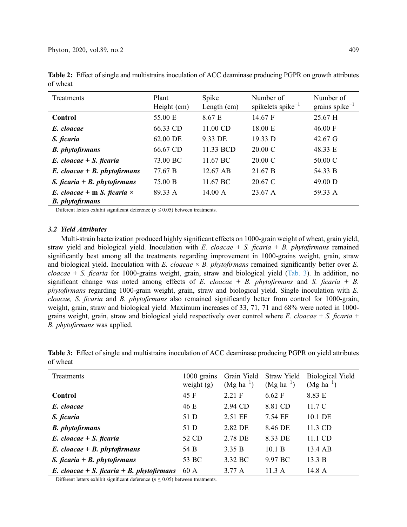| Treatments                                                          | Plant<br>Height (cm) | Spike<br>Length (cm) | Number of<br>spikelets spike $^{-1}$ | Number of<br>grains spike $^{-1}$ |
|---------------------------------------------------------------------|----------------------|----------------------|--------------------------------------|-----------------------------------|
| Control                                                             | 55.00 E              | 8.67 E               | 14.67 F                              | 25.67 H                           |
| E. cloacae                                                          | 66.33 CD             | 11.00 CD             | 18.00 E                              | 46.00 F                           |
| S. ficaria                                                          | 62.00 DE             | 9.33 DE              | 19.33 D                              | 42.67 G                           |
| <b>B.</b> phytofirmans                                              | 66.67 CD             | 11.33 BCD            | 20.00 C                              | 48.33 E                           |
| $E.$ cloacae + S. ficaria                                           | 73.00 BC             | 11.67 BC             | 20.00 C                              | 50.00 C                           |
| $E.$ cloacae + $B.$ phytofirmans                                    | 77.67 B              | 12.67 AB             | 21.67 B                              | 54.33 B                           |
| S. ficaria + B. phytofirmans                                        | 75.00 B              | 11.67 BC             | 20.67 C                              | 49.00 D                           |
| E. cloacae + m S. ficaria $\times$<br><b>B.</b> <i>phytofirmans</i> | 89.33 A              | 14.00 A              | 23.67 A                              | 59.33 A                           |

<span id="page-4-0"></span>Table 2: Effect of single and multistrains inoculation of ACC deaminase producing PGPR on growth attributes of wheat

Different letters exhibit significant deference ( $p \le 0.05$ ) between treatments.

# 3.2 Yield Attributes

Multi-strain bacterization produced highly significant effects on 1000-grain weight of wheat, grain yield, straw yield and biological yield. Inoculation with E. cloacae  $+ S$ . ficaria  $+ B$ . phytofirmans remained significantly best among all the treatments regarding improvement in 1000-grains weight, grain, straw and biological yield. Inoculation with E. cloacae  $\times$  B. phytofirmans remained significantly better over E.  $cloace + S.$  ficaria for 1000-grains weight, grain, straw and biological yield ([Tab. 3\)](#page-4-1). In addition, no significant change was noted among effects of E. cloacae + B. phytofirmans and S. ficaria + B. phytofirmans regarding 1000-grain weight, grain, straw and biological yield. Single inoculation with E. cloacae, S. ficaria and B. phytofirmans also remained significantly better from control for 1000-grain, weight, grain, straw and biological yield. Maximum increases of 33, 71, 71 and 68% were noted in 1000 grains weight, grain, straw and biological yield respectively over control where E. cloacae + S. ficaria + B. phytofirmans was applied.

| <b>Treatments</b>                         | 1000 grains<br>weight $(g)$ | Grain Yield<br>$(Mg ha^{-1})$ | Straw Yield<br>$(Mg ha^{-1})$ | <b>Biological Yield</b><br>$(Mg ha^{-1})$ |
|-------------------------------------------|-----------------------------|-------------------------------|-------------------------------|-------------------------------------------|
| Control                                   | 45 F                        | 2.21 F                        | 6.62 F                        | 8.83 E                                    |
| E. cloacae                                | 46 E                        | 2.94 CD                       | 8.81 CD                       | 11.7C                                     |
| S. ficaria                                | 51 D                        | 2.51 EF                       | 7.54 EF                       | 10.1 DE                                   |
| <b>B.</b> phytofirmans                    | 51 D                        | 2.82 DE                       | 8.46 DE                       | 11.3 CD                                   |
| $E.$ cloacae + S. ficaria                 | 52 CD                       | 2.78 DE                       | 8.33 DE                       | 11.1 CD                                   |
| $E.$ cloacae + $B.$ phytofirmans          | 54 B                        | 3.35 B                        | 10.1 B                        | 13.4 AB                                   |
| S. ficaria + B. phytofirmans              | 53 BC                       | 3.32 BC                       | 9.97 BC                       | 13.3 B                                    |
| E. cloacae + S. ficaria + B. phytofirmans | 60 A                        | $3.77 \text{ A}$              | 11.3A                         | 14.8 A                                    |

<span id="page-4-1"></span>Table 3: Effect of single and multistrains inoculation of ACC deaminase producing PGPR on yield attributes of wheat

Different letters exhibit significant deference ( $p \le 0.05$ ) between treatments.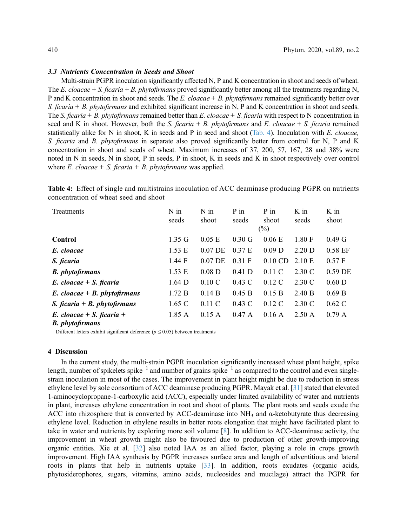#### 3.3 Nutrients Concentration in Seeds and Shoot

Multi-strain PGPR inoculation significantly affected N, P and K concentration in shoot and seeds of wheat. The E. cloacae + S. ficaria + B. phytofirmans proved significantly better among all the treatments regarding N, P and K concentration in shoot and seeds. The E. cloacae + B. phytofirmans remained significantly better over S. ficaria  $+ B$ . phytofirmans and exhibited significant increase in N, P and K concentration in shoot and seeds. The S. ficaria + B. phytofirmans remained better than E. cloacae + S. ficaria with respect to N concentration in seed and K in shoot. However, both the S. ficaria + B. phytofirmans and E. cloacae + S. ficaria remained statistically alike for N in shoot, K in seeds and P in seed and shoot ([Tab. 4](#page-5-0)). Inoculation with E. cloacae, S. ficaria and B. phytofirmans in separate also proved significantly better from control for N, P and K concentration in shoot and seeds of wheat. Maximum increases of 37, 200, 57, 167, 28 and 38% were noted in N in seeds, N in shoot, P in seeds, P in shoot, K in seeds and K in shoot respectively over control where E. cloacae + S. ficaria + B. phytofirmans was applied.

<span id="page-5-0"></span>

| Table 4: Effect of single and multistrains inoculation of ACC deaminase producing PGPR on nutrients |  |
|-----------------------------------------------------------------------------------------------------|--|
| concentration of wheat seed and shoot                                                               |  |
|                                                                                                     |  |

| <b>Treatments</b>                                   | $N$ in<br>seeds  | $N$ in<br>shoot | $P$ in<br>seeds | $P$ in<br>shoot<br>$(\%)$ | $K$ in<br>seeds  | K in<br>shoot     |
|-----------------------------------------------------|------------------|-----------------|-----------------|---------------------------|------------------|-------------------|
| Control                                             | $1.35 \text{ G}$ | $0.05$ E        | $0.30\text{ G}$ | 0.06 E                    | 1.80 F           | 0.49 <sub>G</sub> |
| E. cloacae                                          | 1.53 E           | $0.07$ DE       | 0.37 E          | $0.09$ D                  | $2.20$ D         | 0.58 EF           |
| S. ficaria                                          | 1.44 F           | $0.07$ DE       | 0.31 F          | $0.10$ CD                 | 2.10 E           | 0.57 F            |
| <b>B.</b> <i>phytofirmans</i>                       | 1.53 E           | $0.08$ D        | $0.41$ D        | $0.11\text{ C}$           | 2.30 C           | 0.59 DE           |
| $E.$ cloacae + S. ficaria                           | $1.64$ D         | $0.10\text{ C}$ | $0.43\text{ C}$ | $0.12\text{ C}$           | 2.30 C           | $0.60$ D          |
| $E.$ cloacae + $B.$ phytofirmans                    | 1.72 B           | 0.14 B          | 0.45 B          | 0.15 B                    | 2.40 B           | 0.69 B            |
| S. ficaria + B. phytofirmans                        | $1.65 \text{ C}$ | 0.11 C          | $0.43\text{ C}$ | $0.12\text{ C}$           | 2.30 C           | $0.62\text{ C}$   |
| E. cloacae + S. ficaria +<br><b>B.</b> phytofirmans | 1.85A            | 0.15 A          | 0.47A           | 0.16A                     | $2.50 \text{ A}$ | 0.79A             |

Different letters exhibit significant deference ( $p \le 0.05$ ) between treatments

# 4 Discussion

In the current study, the multi-strain PGPR inoculation significantly increased wheat plant height, spike length, number of spikelets spike−<sup>1</sup> and number of grains spike−<sup>1</sup> as compared to the control and even singlestrain inoculation in most of the cases. The improvement in plant height might be due to reduction in stress ethylene level by sole consortium of ACC deaminase producing PGPR. Mayak et al. [\[31](#page-7-17)] stated that elevated 1-aminocyclopropane-1-carboxylic acid (ACC), especially under limited availability of water and nutrients in plant, increases ethylene concentration in root and shoot of plants. The plant roots and seeds exude the ACC into rhizosphere that is converted by ACC-deaminase into  $NH_3$  and  $\alpha$ -ketobutyrate thus decreasing ethylene level. Reduction in ethylene results in better roots elongation that might have facilitated plant to take in water and nutrients by exploring more soil volume [[8](#page-6-7)]. In addition to ACC-deaminase activity, the improvement in wheat growth might also be favoured due to production of other growth-improving organic entities. Xie et al. [[32\]](#page-7-18) also noted IAA as an allied factor, playing a role in crops growth improvement. High IAA synthesis by PGPR increases surface area and length of adventitious and lateral roots in plants that help in nutrients uptake [\[33](#page-7-19)]. In addition, roots exudates (organic acids, phytosiderophores, sugars, vitamins, amino acids, nucleosides and mucilage) attract the PGPR for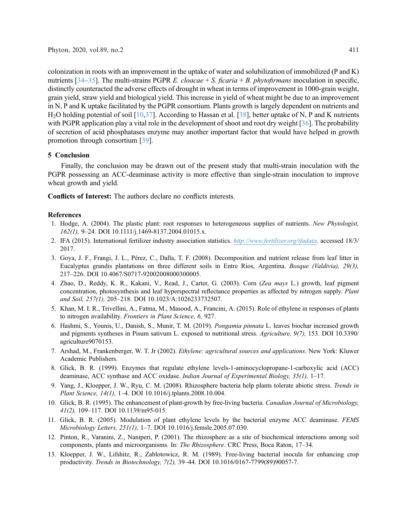colonization in roots with an improvement in the uptake of water and solubilization of immobilized (P and K) nutrients [\[34](#page-7-20)–[35\]](#page-8-1). The multi-strains PGPR E. cloacae + S. ficaria + B. phytofirmans inoculation in specific, distinctly counteracted the adverse effects of drought in wheat in terms of improvement in 1000-grain weight, grain yield, straw yield and biological yield. This increase in yield of wheat might be due to an improvement in N, P and K uptake facilitated by the PGPR consortium. Plants growth is largely dependent on nutrients and H<sub>2</sub>O holding potential of soil [\[10,](#page-6-9)[37\]](#page-8-2). According to Hassan et al. [\[38\]](#page-8-3), better uptake of N, P and K nutrients with PGPR application play a vital role in the development of shoot and root dry weight [[36\]](#page-8-4). The probability of secretion of acid phosphatases enzyme may another important factor that would have helped in growth promotion through consortium [\[39](#page-8-5)].

# 5 Conclusion

Finally, the conclusion may be drawn out of the present study that multi-strain inoculation with the PGPR possessing an ACC-deaminase activity is more effective than single-strain inoculation to improve wheat growth and yield.

Conflicts of Interest: The authors declare no conflicts interests.

# References

- <span id="page-6-0"></span>1. Hodge, A. (2004). The plastic plant: root responses to heterogeneous supplies of nutrients. New Phytologist, 162(1), 9–2[4. DOI 10.1111/j.1469-8137.2004.01015.x](http://dx.doi.org/10.1111/j.1469-8137.2004.01015.x).
- <span id="page-6-1"></span>2. IFA (2015). International fertilizer industry association statistics. <http://www.fertilizer.org/ifadata>. accessed 18/3/ 2017.
- <span id="page-6-2"></span>3. Goya, J. F., Frangi, J. L., Pérez, C., Dalla, T. F. (2008). Decomposition and nutrient release from leaf litter in Eucalyptus grandis plantations on three different soils in Entre Ríos, Argentina. Bosque (Valdivia), 29(3), 217–22[6. DOI 10.4067/S0717-92002008000300005](http://dx.doi.org/10.4067/S0717-92002008000300005).
- <span id="page-6-3"></span>4. Zhao, D., Reddy, K. R., Kakani, V., Read, J., Carter, G. (2003). Corn (Zea mays L.) growth, leaf pigment concentration, photosynthesis and leaf hyperspectral reflectance properties as affected by nitrogen supply. Plant and Soil, 257(1), 205–21[8. DOI 10.1023/A:1026233732507](http://dx.doi.org/10.1023/A:1026233732507).
- <span id="page-6-4"></span>5. Khan, M. I. R., Trivellini, A., Fatma, M., Masood, A., Francini, A. (2015). Role of ethylene in responses of plants to nitrogen availability. Frontiers in Plant Science, 6, 927.
- <span id="page-6-5"></span>6. Hashmi, S., Younis, U., Danish, S., Munir, T. M. (2019). Pongamia pinnata L. leaves biochar increased growth and pigments syntheses in Pisum sativum L. exposed to nutritional stress. Agriculture, 9(7), 153[. DOI 10.3390/](http://dx.doi.org/10.3390/agriculture9070153) [agriculture9070153](http://dx.doi.org/10.3390/agriculture9070153).
- <span id="page-6-6"></span>7. Arshad, M., Frankenberger, W. T. Jr (2002). Ethylene: agricultural sources and applications. New York: Kluwer Academic Publishers.
- <span id="page-6-7"></span>8. Glick, B. R. (1999). Enzymes that regulate ethylene levels-1-aminocyclopropane-1-carboxylic acid (ACC) deaminase, ACC synthase and ACC oxidase. Indian Journal of Experimental Biology, 35(1), 1–17.
- <span id="page-6-8"></span>9. Yang, J., Kloepper, J. W., Ryu, C. M. (2008). Rhizosphere bacteria help plants tolerate abiotic stress. Trends in Plant Science, 14(1), 1–[4. DOI 10.1016/j.tplants.2008.10.004](http://dx.doi.org/10.1016/j.tplants.2008.10.004).
- <span id="page-6-9"></span>10. Glick, B. R. (1995). The enhancement of plant-growth by free-living bacteria. Canadian Journal of Microbiology, 41(2), 109–117[. DOI 10.1139/m95-015.](http://dx.doi.org/10.1139/m95-015)
- <span id="page-6-10"></span>11. Glick, B. R. (2005). Modulation of plant ethylene levels by the bacterial enzyme ACC deaminase. FEMS Microbiology Letters, 251(1), 1–[7. DOI 10.1016/j.femsle.2005.07.030](http://dx.doi.org/10.1016/j.femsle.2005.07.030).
- <span id="page-6-11"></span>12. Pinton, R., Varanini, Z., Naniperi, P. (2001). The rhizosphere as a site of biochemical interactions among soil components, plants and microorganisms. In: The Rhizosphere. CRC Press, Boca Raton, 17-34.
- <span id="page-6-12"></span>13. Kloepper, J. W., Lifshitz, R., Zablotowicz, R. M. (1989). Free-living bacterial inocula for enhancing crop productivity. Trends in Biotechnology, 7(2), 39–4[4. DOI 10.1016/0167-7799\(89\)90057-7](http://dx.doi.org/10.1016/0167-7799(89)90057-7).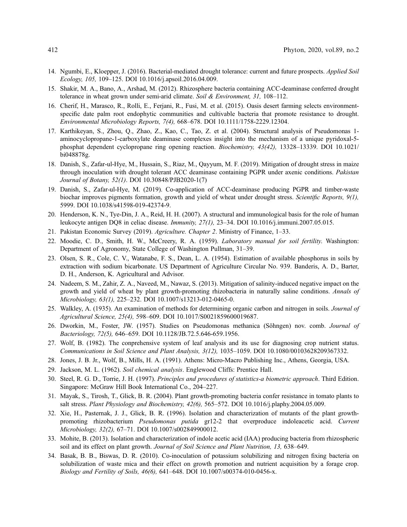- <span id="page-7-0"></span>14. Ngumbi, E., Kloepper, J. (2016). Bacterial-mediated drought tolerance: current and future prospects. Applied Soil Ecology, 105, 109–12[5. DOI 10.1016/j.apsoil.2016.04.009.](http://dx.doi.org/10.1016/j.apsoil.2016.04.009)
- <span id="page-7-1"></span>15. Shakir, M. A., Bano, A., Arshad, M. (2012). Rhizosphere bacteria containing ACC-deaminase conferred drought tolerance in wheat grown under semi-arid climate. Soil & Environment, 31, 108–112.
- <span id="page-7-2"></span>16. Cherif, H., Marasco, R., Rolli, E., Ferjani, R., Fusi, M. et al. (2015). Oasis desert farming selects environmentspecific date palm root endophytic communities and cultivable bacteria that promote resistance to drought. Environmental Microbiology Reports, 7(4), 668–678[. DOI 10.1111/1758-2229.12304.](http://dx.doi.org/10.1111/1758-2229.12304)
- <span id="page-7-3"></span>17. Karthikeyan, S., Zhou, Q., Zhao, Z., Kao, C., Tao, Z. et al. (2004). Structural analysis of Pseudomonas 1 aminocyclopropane-1-carboxylate deaminase complexes insight into the mechanism of a unique pyridoxal-5 phosphat dependent cyclopropane ring opening reaction. Biochemistry, 43(42), 13328–13339[. DOI 10.1021/](http://dx.doi.org/10.1021/bi048878g) [bi048878g](http://dx.doi.org/10.1021/bi048878g).
- <span id="page-7-4"></span>18. Danish, S., Zafar-ul-Hye, M., Hussain, S., Riaz, M., Qayyum, M. F. (2019). Mitigation of drought stress in maize through inoculation with drought tolerant ACC deaminase containing PGPR under axenic conditions. Pakistan Journal of Botany, 52(1)[. DOI 10.30848/PJB2020-1\(7\)](http://dx.doi.org/10.30848/PJB2020-1(7))
- <span id="page-7-5"></span>19. Danish, S., Zafar-ul-Hye, M. (2019). Co-application of ACC-deaminase producing PGPR and timber-waste biochar improves pigments formation, growth and yield of wheat under drought stress. Scientific Reports, 9(1), 599[9. DOI 10.1038/s41598-019-42374-9.](http://dx.doi.org/10.1038/s41598-019-42374-9)
- <span id="page-7-6"></span>20. Henderson, K. N., Tye-Din, J. A., Reid, H. H. (2007). A structural and immunological basis for the role of human leukocyte antigen DQ8 in celiac disease. Immunity, 27(1), 23–3[4. DOI 10.1016/j.immuni.2007.05.015.](http://dx.doi.org/10.1016/j.immuni.2007.05.015)
- <span id="page-7-7"></span>21. Pakistan Economic Survey (2019). Agriculture. Chapter 2. Ministry of Finance, 1–33.
- <span id="page-7-8"></span>22. Moodie, C. D., Smith, H. W., McCreery, R. A. (1959). Laboratory manual for soil fertility. Washington: Department of Agronomy, State College of Washington Pullman, 31–39.
- <span id="page-7-9"></span>23. Olsen, S. R., Cole, C. V., Watanabe, F. S., Dean, L. A. (1954). Estimation of available phosphorus in soils by extraction with sodium bicarbonate. US Department of Agriculture Circular No. 939. Banderis, A. D., Barter, D. H., Anderson, K. Agricultural and Advisor.
- <span id="page-7-10"></span>24. Nadeem, S. M., Zahir, Z. A., Naveed, M., Nawaz, S. (2013). Mitigation of salinity-induced negative impact on the growth and yield of wheat by plant growth-promoting rhizobacteria in naturally saline conditions. Annals of Microbiology, 63(1), 225–232[. DOI 10.1007/s13213-012-0465-0](http://dx.doi.org/10.1007/s13213-012-0465-0).
- <span id="page-7-11"></span>25. Walkley, A. (1935). An examination of methods for determining organic carbon and nitrogen in soils. Journal of Agricultural Science, 25(4), 598–609[. DOI 10.1017/S0021859600019687](http://dx.doi.org/10.1017/S0021859600019687).
- <span id="page-7-12"></span>26. Dworkin, M., Foster, JW. (1957). Studies on Pseudomonas methanica (Söhngen) nov. comb. Journal of Bacteriology, 72(5), 646–65[9. DOI 10.1128/JB.72.5.646-659.1956.](http://dx.doi.org/10.1128/JB.72.5.646-659.1956)
- <span id="page-7-13"></span>27. Wolf, B. (1982). The conprehensive system of leaf analysis and its use for diagnosing crop nutrient status. Communications in Soil Science and Plant Analysis, 3(12), 1035–105[9. DOI 10.1080/00103628209367332](http://dx.doi.org/10.1080/00103628209367332).
- <span id="page-7-14"></span>28. Jones, J. B. Jr., Wolf, B., Mills, H. A. (1991). Athens: Micro-Macro Publishing Inc., Athens, Georgia, USA.
- <span id="page-7-15"></span>29. Jackson, M. L. (1962). Soil chemical analysis. Englewood Cliffs: Prentice Hall.
- <span id="page-7-16"></span>30. Steel, R. G. D., Torrie, J. H. (1997). Principles and procedures of statistics-a biometric approach. Third Edition. Singapore: McGraw Hill Book International Co., 204–227.
- <span id="page-7-17"></span>31. Mayak, S., Tirosh, T., Glick, B. R. (2004). Plant growth-promoting bacteria confer resistance in tomato plants to salt stress. Plant Physiology and Biochemistry, 42(6), 565–572[. DOI 10.1016/j.plaphy.2004.05.009.](http://dx.doi.org/10.1016/j.plaphy.2004.05.009)
- <span id="page-7-18"></span>32. Xie, H., Pasternak, J. J., Glick, B. R. (1996). Isolation and characterization of mutants of the plant growthpromoting rhizobacterium Pseudomonas putida gr12-2 that overproduce indoleacetic acid. Current Microbiology, 32(2), 67–71[. DOI 10.1007/s002849900012.](http://dx.doi.org/10.1007/s002849900012)
- <span id="page-7-19"></span>33. Mohite, B. (2013). Isolation and characterization of indole acetic acid (IAA) producing bacteria from rhizospheric soil and its effect on plant growth. Journal of Soil Science and Plant Nutrition, 13, 638–649.
- <span id="page-7-20"></span>34. Basak, B. B., Biswas, D. R. (2010). Co-inoculation of potassium solubilizing and nitrogen fixing bacteria on solubilization of waste mica and their effect on growth promotion and nutrient acquisition by a forage crop. Biology and Fertility of Soils, 46(6), 641–648[. DOI 10.1007/s00374-010-0456-x](http://dx.doi.org/10.1007/s00374-010-0456-x).